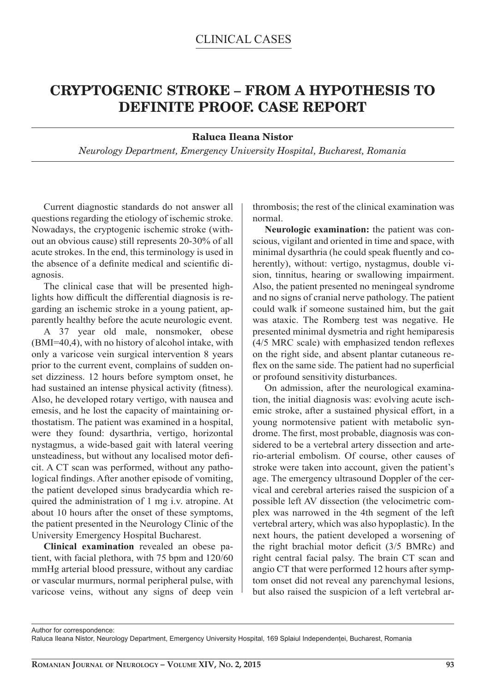## **CRYPTOGENIC STROKE – FROM A HYPOTHESIS TO DEFINITE PROOF. CASE REPORT**

## **Raluca Ileana Nistor**

*Neurology Department, Emergency University Hospital, Bucharest, Romania*

Current diagnostic standards do not answer all questions regarding the etiology of ischemic stroke. Nowadays, the cryptogenic ischemic stroke (without an obvious cause) still represents 20-30% of all acute strokes. In the end, this terminology is used in the absence of a definite medical and scientific diagnosis.

The clinical case that will be presented highlights how difficult the differential diagnosis is regarding an ischemic stroke in a young patient, apparently healthy before the acute neurologic event.

A 37 year old male, nonsmoker, obese (BMI=40,4), with no history of alcohol intake, with only a varicose vein surgical intervention 8 years prior to the current event, complains of sudden onset dizziness. 12 hours before symptom onset, he had sustained an intense physical activity (fitness). Also, he developed rotary vertigo, with nausea and emesis, and he lost the capacity of maintaining orthostatism. The patient was examined in a hospital, were they found: dysarthria, vertigo, horizontal nystagmus, a wide-based gait with lateral veering unsteadiness, but without any localised motor deficit. A CT scan was performed, without any pathological findings. After another episode of vomiting, the patient developed sinus bradycardia which required the administration of 1 mg i.v. atropine. At about 10 hours after the onset of these symptoms, the patient presented in the Neurology Clinic of the University Emergency Hospital Bucharest.

**Clinical examination** revealed an obese patient, with facial plethora, with 75 bpm and 120/60 mmHg arterial blood pressure, without any cardiac or vascular murmurs, normal peripheral pulse, with varicose veins, without any signs of deep vein

thrombosis; the rest of the clinical examination was normal.

**Neurologic examination:** the patient was conscious, vigilant and oriented in time and space, with minimal dysarthria (he could speak fluently and coherently), without: vertigo, nystagmus, double vision, tinnitus, hearing or swallowing impairment. Also, the patient presented no meningeal syndrome and no signs of cranial nerve pathology. The patient could walk if someone sustained him, but the gait was ataxic. The Romberg test was negative. He presented minimal dysmetria and right hemiparesis  $(4/5 \text{ MRC scale})$  with emphasized tendon reflexes on the right side, and absent plantar cutaneous reflex on the same side. The patient had no superficial or profound sensitivity disturbances.

On admission, after the neurological examination, the initial diagnosis was: evolving acute ischemic stroke, after a sustained physical effort, in a young normotensive patient with metabolic syndrome. The first, most probable, diagnosis was considered to be a vertebral artery dissection and arterio-arterial embolism. Of course, other causes of stroke were taken into account, given the patient's age. The emergency ultrasound Doppler of the cervical and cerebral arteries raised the suspicion of a possible left AV dissection (the velocimetric complex was narrowed in the 4th segment of the left vertebral artery, which was also hypoplastic). In the next hours, the patient developed a worsening of the right brachial motor deficit  $(3/5$  BMRc) and right central facial palsy. The brain CT scan and angio CT that were performed 12 hours after symptom onset did not reveal any parenchymal lesions, but also raised the suspicion of a left vertebral ar-

Author for correspondence:

Raluca Ileana Nistor, Neurology Department, Emergency University Hospital, 169 Splaiul Independenţei, Bucharest, Romania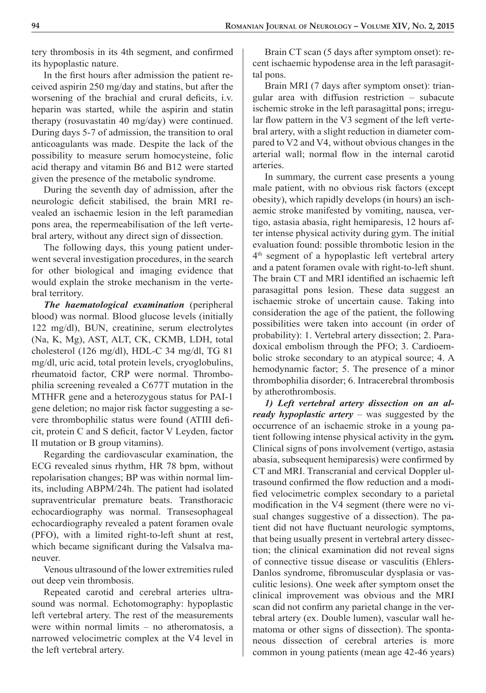tery thrombosis in its 4th segment, and confirmed its hypoplastic nature.

In the first hours after admission the patient received aspirin 250 mg/day and statins, but after the worsening of the brachial and crural deficits, i.v. heparin was started, while the aspirin and statin therapy (rosuvastatin 40 mg/day) were continued. During days 5-7 of admission, the transition to oral anticoagulants was made. Despite the lack of the possibility to measure serum homocysteine, folic acid therapy and vitamin B6 and B12 were started given the presence of the metabolic syndrome.

During the seventh day of admission, after the neurologic deficit stabilised, the brain MRI revealed an ischaemic lesion in the left paramedian pons area, the repermeabilisation of the left vertebral artery, without any direct sign of dissection.

The following days, this young patient underwent several investigation procedures, in the search for other biological and imaging evidence that would explain the stroke mechanism in the vertebral territory.

*The haematological examination* (peripheral blood) was normal. Blood glucose levels (initially 122 mg/dl), BUN, creatinine, serum electrolytes (Na, K, Mg), AST, ALT, CK, CKMB, LDH, total cholesterol (126 mg/dl), HDL-C 34 mg/dl, TG 81 mg/dl, uric acid, total protein levels, cryoglobulins, rheumatoid factor, CRP were normal. Thrombophilia screening revealed a C677T mutation in the MTHFR gene and a heterozygous status for PAI-1 gene deletion; no major risk factor suggesting a severe thrombophilic status were found (ATIII deficit, protein C and S deficit, factor V Leyden, factor II mutation or B group vitamins).

Regarding the cardiovascular examination, the ECG revealed sinus rhythm, HR 78 bpm, without repolarisation changes; BP was within normal limits, including ABPM/24h. The patient had isolated supraventricular premature beats. Transthoracic echocardiography was normal. Transesophageal echocardiography revealed a patent foramen ovale (PFO), with a limited right-to-left shunt at rest, which became significant during the Valsalva maneuver.

Venous ultrasound of the lower extremities ruled out deep vein thrombosis.

Repeated carotid and cerebral arteries ultrasound was normal. Echotomography: hypoplastic left vertebral artery. The rest of the measurements were within normal limits – no atheromatosis, a narrowed velocimetric complex at the V4 level in the left vertebral artery.

Brain CT scan (5 days after symptom onset): recent ischaemic hypodense area in the left parasagittal pons.

Brain MRI (7 days after symptom onset): triangular area with diffusion restriction – subacute ischemic stroke in the left parasagittal pons; irregular flow pattern in the V3 segment of the left vertebral artery, with a slight reduction in diameter compared to V2 and V4, without obvious changes in the arterial wall; normal flow in the internal carotid arteries.

In summary, the current case presents a young male patient, with no obvious risk factors (except obesity), which rapidly develops (in hours) an ischaemic stroke manifested by vomiting, nausea, vertigo, astasia abasia, right hemiparesis, 12 hours after intense physical activity during gym. The initial evaluation found: possible thrombotic lesion in the 4<sup>th</sup> segment of a hypoplastic left vertebral artery and a patent foramen ovale with right-to-left shunt. The brain CT and MRI identified an ischaemic left parasagittal pons lesion. These data suggest an ischaemic stroke of uncertain cause. Taking into consideration the age of the patient, the following possibilities were taken into account (in order of probability): 1. Vertebral artery dissection; 2. Paradoxical embolism through the PFO; 3. Cardioembolic stroke secondary to an atypical source; 4. A hemodynamic factor; 5. The presence of a minor thrombophilia disorder; 6. Intracerebral thrombosis by atherothrombosis.

*1) Left vertebral artery dissection on an already hypoplastic artery* – was suggested by the occurrence of an ischaemic stroke in a young patient following intense physical activity in the gym*.*  Clinical signs of pons involvement (vertigo, astasia abasia, subsequent hemiparesis) were confirmed by CT and MRI. Transcranial and cervical Doppler ultrasound confirmed the flow reduction and a modified velocimetric complex secondary to a parietal modification in the V4 segment (there were no visual changes suggestive of a dissection). The patient did not have fluctuant neurologic symptoms, that being usually present in vertebral artery dissection; the clinical examination did not reveal signs of connective tissue disease or vasculitis (Ehlers-Danlos syndrome, fibromuscular dysplasia or vasculitic lesions). One week after symptom onset the clinical improvement was obvious and the MRI scan did not confirm any parietal change in the vertebral artery (ex. Double lumen), vascular wall hematoma or other signs of dissection). The spontaneous dissection of cerebral arteries is more common in young patients (mean age 42-46 years)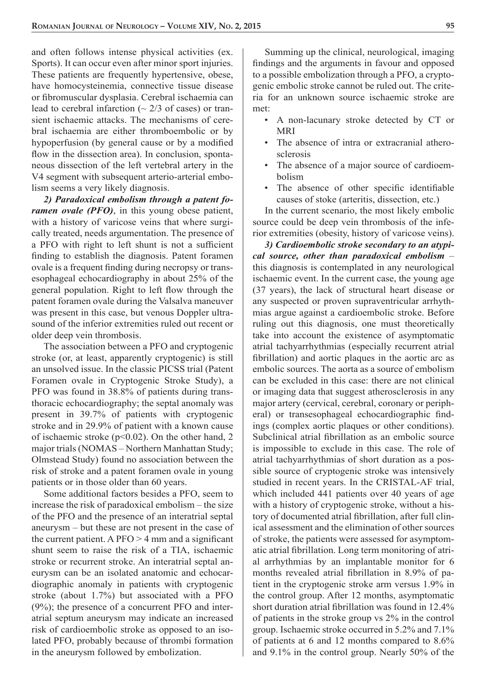and often follows intense physical activities (ex. Sports). It can occur even after minor sport injuries. These patients are frequently hypertensive, obese, have homocysteinemia, connective tissue disease or fibromuscular dysplasia. Cerebral ischaemia can lead to cerebral infarction ( $\sim$  2/3 of cases) or transient ischaemic attacks. The mechanisms of cerebral ischaemia are either thromboembolic or by hypoperfusion (by general cause or by a modified flow in the dissection area). In conclusion, spontaneous dissection of the left vertebral artery in the V4 segment with subsequent arterio-arterial embolism seems a very likely diagnosis.

*2) Paradoxical embolism through a patent foramen ovale (PFO)*, in this young obese patient, with a history of varicose veins that where surgically treated, needs argumentation. The presence of a PFO with right to left shunt is not a sufficient finding to establish the diagnosis. Patent foramen ovale is a frequent finding during necropsy or transesophageal echocardiography in about 25% of the general population. Right to left flow through the patent foramen ovale during the Valsalva maneuver was present in this case, but venous Doppler ultrasound of the inferior extremities ruled out recent or older deep vein thrombosis.

The association between a PFO and cryptogenic stroke (or, at least, apparently cryptogenic) is still an unsolved issue. In the classic PICSS trial (Patent Foramen ovale in Cryptogenic Stroke Study), a PFO was found in 38.8% of patients during transthoracic echocardiography; the septal anomaly was present in 39.7% of patients with cryptogenic stroke and in 29.9% of patient with a known cause of ischaemic stroke (p<0.02). On the other hand, 2 major trials (NOMAS – Northern Manhattan Study; Olmstead Study) found no association between the risk of stroke and a patent foramen ovale in young patients or in those older than 60 years.

Some additional factors besides a PFO, seem to increase the risk of paradoxical embolism – the size of the PFO and the presence of an interatrial septal aneurysm – but these are not present in the case of the current patient. A  $PFO > 4$  mm and a significant shunt seem to raise the risk of a TIA, ischaemic stroke or recurrent stroke. An interatrial septal aneurysm can be an isolated anatomic and echocardiographic anomaly in patients with cryptogenic stroke (about 1.7%) but associated with a PFO (9%); the presence of a concurrent PFO and interatrial septum aneurysm may indicate an increased risk of cardioembolic stroke as opposed to an isolated PFO, probably because of thrombi formation in the aneurysm followed by embolization.

Summing up the clinical, neurological, imaging findings and the arguments in favour and opposed to a possible embolization through a PFO, a cryptogenic embolic stroke cannot be ruled out. The criteria for an unknown source ischaemic stroke are met:

- A non-lacunary stroke detected by CT or MRI
- The absence of intra or extracranial atherosclerosis
- The absence of a major source of cardioembolism
- The absence of other specific identifiable causes of stoke (arteritis, dissection, etc.)

In the current scenario, the most likely embolic source could be deep vein thrombosis of the inferior extremities (obesity, history of varicose veins).

*3) Cardioembolic stroke secondary to an atypical source, other than paradoxical embolism –*  this diagnosis is contemplated in any neurological ischaemic event. In the current case, the young age (37 years), the lack of structural heart disease or any suspected or proven supraventricular arrhythmias argue against a cardioembolic stroke. Before ruling out this diagnosis, one must theoretically take into account the existence of asymptomatic atrial tachyarrhythmias (especially recurrent atrial fibrillation) and aortic plaques in the aortic arc as embolic sources. The aorta as a source of embolism can be excluded in this case: there are not clinical or imaging data that suggest atherosclerosis in any major artery (cervical, cerebral, coronary or peripheral) or transesophageal echocardiographic findings (complex aortic plaques or other conditions). Subclinical atrial fibrillation as an embolic source is impossible to exclude in this case. The role of atrial tachyarrhythmias of short duration as a possible source of cryptogenic stroke was intensively studied in recent years. In the CRISTAL-AF trial, which included 441 patients over 40 years of age with a history of cryptogenic stroke, without a history of documented atrial fibrillation, after full clinical assessment and the elimination of other sources of stroke, the patients were assessed for asymptomatic atrial fibrillation. Long term monitoring of atrial arrhythmias by an implantable monitor for 6 months revealed atrial fibrillation in 8.9% of patient in the cryptogenic stroke arm versus 1.9% in the control group. After 12 months, asymptomatic short duration atrial fibrillation was found in 12.4% of patients in the stroke group vs 2% in the control group. Ischaemic stroke occurred in 5.2% and 7.1% of patients at 6 and 12 months compared to 8.6% and 9.1% in the control group. Nearly 50% of the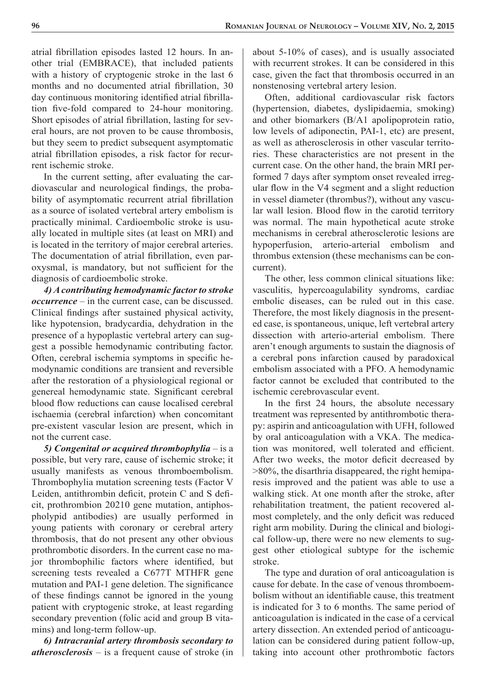atrial fibrillation episodes lasted 12 hours. In another trial (EMBRACE), that included patients with a history of cryptogenic stroke in the last 6 months and no documented atrial fibrillation, 30 day continuous monitoring identified atrial fibrillation five-fold compared to 24-hour monitoring. Short episodes of atrial fibrillation, lasting for several hours, are not proven to be cause thrombosis, but they seem to predict subsequent asymptomatic atrial fibrillation episodes, a risk factor for recurrent ischemic stroke.

In the current setting, after evaluating the cardiovascular and neurological findings, the probability of asymptomatic recurrent atrial fibrillation as a source of isolated vertebral artery embolism is practically minimal. Cardioembolic stroke is usually located in multiple sites (at least on MRI) and is located in the territory of major cerebral arteries. The documentation of atrial fibrillation, even paroxysmal, is mandatory, but not sufficient for the diagnosis of cardioembolic stroke.

*4) A contributing hemodynamic factor to stroke occurrence* – in the current case, can be discussed. Clinical findings after sustained physical activity, like hypotension, bradycardia, dehydration in the presence of a hypoplastic vertebral artery can suggest a possible hemodynamic contributing factor. Often, cerebral ischemia symptoms in specific hemodynamic conditions are transient and reversible after the restoration of a physiological regional or genereal hemodynamic state. Significant cerebral blood flow reductions can cause localised cerebral ischaemia (cerebral infarction) when concomitant pre-existent vascular lesion are present, which in not the current case.

*5) Congenital or acquired thrombophylia* – is a possible, but very rare, cause of ischemic stroke; it usually manifests as venous thromboembolism. Thrombophylia mutation screening tests (Factor V Leiden, antithrombin deficit, protein C and S deficit, prothrombion 20210 gene mutation, antiphospholypid antibodies) are usually performed in young patients with coronary or cerebral artery thrombosis, that do not present any other obvious prothrombotic disorders. In the current case no major thrombophilic factors where identified, but screening tests revealed a C677T MTHFR gene mutation and PAI-1 gene deletion. The significance of these findings cannot be ignored in the young patient with cryptogenic stroke, at least regarding secondary prevention (folic acid and group B vitamins) and long-term follow-up.

*6) Intracranial artery thrombosis secondary to atherosclerosis* – is a frequent cause of stroke (in about 5-10% of cases), and is usually associated with recurrent strokes. It can be considered in this case, given the fact that thrombosis occurred in an nonstenosing vertebral artery lesion.

Often, additional cardiovascular risk factors (hypertension, diabetes, dyslipidaemia, smoking) and other biomarkers (B/A1 apolipoprotein ratio, low levels of adiponectin, PAI-1, etc) are present, as well as atherosclerosis in other vascular territories. These characteristics are not present in the current case. On the other hand, the brain MRI performed 7 days after symptom onset revealed irregular flow in the V4 segment and a slight reduction in vessel diameter (thrombus?), without any vascular wall lesion. Blood flow in the carotid territory was normal. The main hypothetical acute stroke mechanisms in cerebral atherosclerotic lesions are hypoperfusion, arterio-arterial embolism and thrombus extension (these mechanisms can be concurrent).

The other, less common clinical situations like: vasculitis, hypercoagulability syndroms, cardiac embolic diseases, can be ruled out in this case. Therefore, the most likely diagnosis in the presented case, is spontaneous, unique, left vertebral artery dissection with arterio-arterial embolism. There aren't enough arguments to sustain the diagnosis of a cerebral pons infarction caused by paradoxical embolism associated with a PFO. A hemodynamic factor cannot be excluded that contributed to the ischemic cerebrovascular event.

In the first 24 hours, the absolute necessary treatment was represented by antithrombotic therapy: aspirin and anticoagulation with UFH, followed by oral anticoagulation with a VKA. The medication was monitored, well tolerated and efficient. After two weeks, the motor deficit decreased by >80%, the disarthria disappeared, the right hemiparesis improved and the patient was able to use a walking stick. At one month after the stroke, after rehabilitation treatment, the patient recovered almost completely, and the only deficit was reduced right arm mobility. During the clinical and biological follow-up, there were no new elements to suggest other etiological subtype for the ischemic stroke.

The type and duration of oral anticoagulation is cause for debate. In the case of venous thromboembolism without an identifiable cause, this treatment is indicated for 3 to 6 months. The same period of anticoagulation is indicated in the case of a cervical artery dissection. An extended period of anticoagulation can be considered during patient follow-up, taking into account other prothrombotic factors